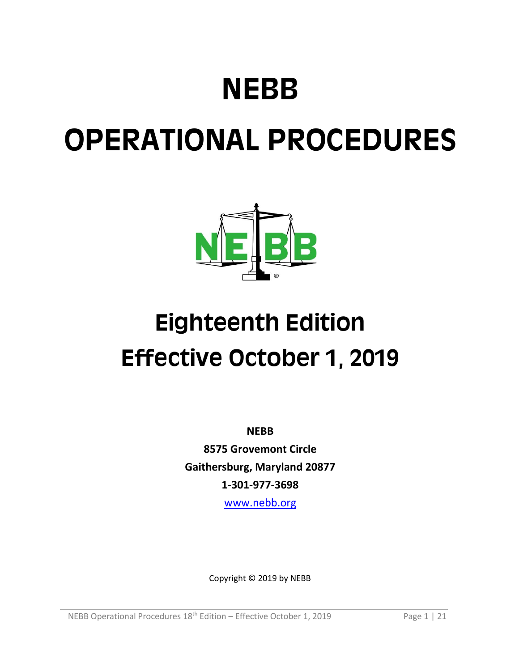## **NEBB**

# <span id="page-0-0"></span>**OPERATIONAL PROCEDURES**



## **Eighteenth Edition Effective October 1, 2019**

**NEBB 8575 Grovemont Circle Gaithersburg, Maryland 20877 1-301-977-3698** [www.nebb.org](http://www.nebb.org/)

Copyright © 2019 by NEBB

NEBB Operational Procedures 18<sup>th</sup> Edition – Effective October 1, 2019 Page 1 | 21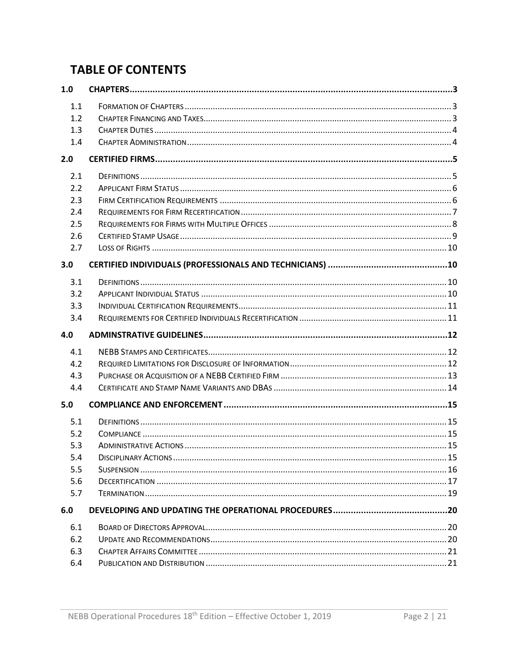## **TABLE OF CONTENTS**

| 1.0 |  |
|-----|--|
| 1.1 |  |
| 1.2 |  |
| 1.3 |  |
| 1.4 |  |
| 2.0 |  |
| 2.1 |  |
| 2.2 |  |
| 2.3 |  |
| 2.4 |  |
| 2.5 |  |
| 2.6 |  |
| 2.7 |  |
| 3.0 |  |
| 3.1 |  |
| 3.2 |  |
| 3.3 |  |
| 3.4 |  |
|     |  |
| 4.0 |  |
| 4.1 |  |
| 4.2 |  |
| 4.3 |  |
| 4.4 |  |
| 5.0 |  |
| 5.1 |  |
| 5.2 |  |
| 5.3 |  |
| 5.4 |  |
| 5.5 |  |
| 5.6 |  |
| 5.7 |  |
| 6.0 |  |
| 6.1 |  |
| 6.2 |  |
| 6.3 |  |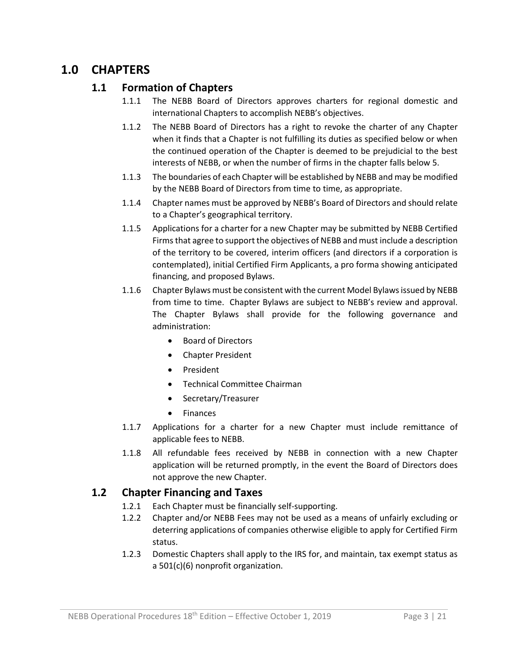## <span id="page-2-1"></span><span id="page-2-0"></span>**1.0 CHAPTERS**

#### **1.1 Formation of Chapters**

- 1.1.1 The NEBB Board of Directors approves charters for regional domestic and international Chapters to accomplish NEBB's objectives.
- 1.1.2 The NEBB Board of Directors has a right to revoke the charter of any Chapter when it finds that a Chapter is not fulfilling its duties as specified below or when the continued operation of the Chapter is deemed to be prejudicial to the best interests of NEBB, or when the number of firms in the chapter falls below 5.
- 1.1.3 The boundaries of each Chapter will be established by NEBB and may be modified by the NEBB Board of Directors from time to time, as appropriate.
- 1.1.4 Chapter names must be approved by NEBB's Board of Directors and should relate to a Chapter's geographical territory.
- 1.1.5 Applications for a charter for a new Chapter may be submitted by NEBB Certified Firms that agree to support the objectives of NEBB and must include a description of the territory to be covered, interim officers (and directors if a corporation is contemplated), initial Certified Firm Applicants, a pro forma showing anticipated financing, and proposed Bylaws.
- 1.1.6 Chapter Bylaws must be consistent with the current Model Bylaws issued by NEBB from time to time. Chapter Bylaws are subject to NEBB's review and approval. The Chapter Bylaws shall provide for the following governance and administration:
	- Board of Directors
	- Chapter President
	- President
	- Technical Committee Chairman
	- Secretary/Treasurer
	- Finances
- 1.1.7 Applications for a charter for a new Chapter must include remittance of applicable fees to NEBB.
- 1.1.8 All refundable fees received by NEBB in connection with a new Chapter application will be returned promptly, in the event the Board of Directors does not approve the new Chapter.

#### <span id="page-2-2"></span>**1.2 Chapter Financing and Taxes**

- 1.2.1 Each Chapter must be financially self-supporting.
- 1.2.2 Chapter and/or NEBB Fees may not be used as a means of unfairly excluding or deterring applications of companies otherwise eligible to apply for Certified Firm status.
- 1.2.3 Domestic Chapters shall apply to the IRS for, and maintain, tax exempt status as a 501(c)(6) nonprofit organization.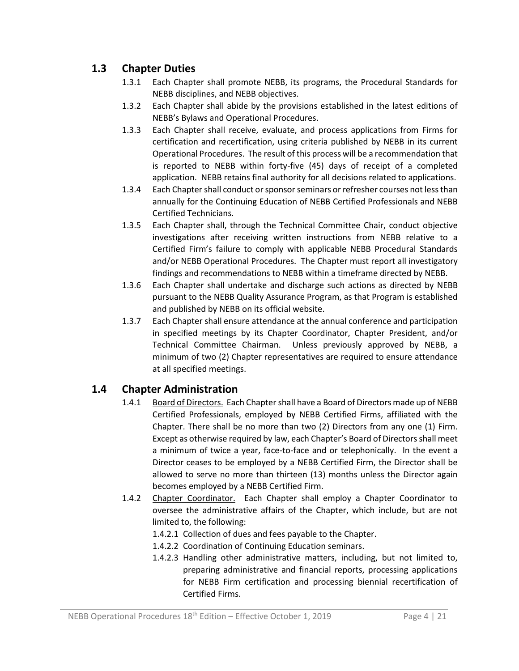#### <span id="page-3-0"></span>**1.3 Chapter Duties**

- 1.3.1 Each Chapter shall promote NEBB, its programs, the Procedural Standards for NEBB disciplines, and NEBB objectives.
- 1.3.2 Each Chapter shall abide by the provisions established in the latest editions of NEBB's Bylaws and Operational Procedures.
- 1.3.3 Each Chapter shall receive, evaluate, and process applications from Firms for certification and recertification, using criteria published by NEBB in its current Operational Procedures. The result of this process will be a recommendation that is reported to NEBB within forty-five (45) days of receipt of a completed application. NEBB retains final authority for all decisions related to applications.
- 1.3.4 Each Chapter shall conduct or sponsor seminars or refresher courses not less than annually for the Continuing Education of NEBB Certified Professionals and NEBB Certified Technicians.
- 1.3.5 Each Chapter shall, through the Technical Committee Chair, conduct objective investigations after receiving written instructions from NEBB relative to a Certified Firm's failure to comply with applicable NEBB Procedural Standards and/or NEBB Operational Procedures. The Chapter must report all investigatory findings and recommendations to NEBB within a timeframe directed by NEBB.
- 1.3.6 Each Chapter shall undertake and discharge such actions as directed by NEBB pursuant to the NEBB Quality Assurance Program, as that Program is established and published by NEBB on its official website.
- 1.3.7 Each Chapter shall ensure attendance at the annual conference and participation in specified meetings by its Chapter Coordinator, Chapter President, and/or Technical Committee Chairman. Unless previously approved by NEBB, a minimum of two (2) Chapter representatives are required to ensure attendance at all specified meetings.

#### <span id="page-3-1"></span>**1.4 Chapter Administration**

- 1.4.1 Board of Directors. Each Chapter shall have a Board of Directors made up of NEBB Certified Professionals, employed by NEBB Certified Firms, affiliated with the Chapter. There shall be no more than two (2) Directors from any one (1) Firm. Except as otherwise required by law, each Chapter's Board of Directors shall meet a minimum of twice a year, face-to-face and or telephonically. In the event a Director ceases to be employed by a NEBB Certified Firm, the Director shall be allowed to serve no more than thirteen (13) months unless the Director again becomes employed by a NEBB Certified Firm.
- 1.4.2 Chapter Coordinator. Each Chapter shall employ a Chapter Coordinator to oversee the administrative affairs of the Chapter, which include, but are not limited to, the following:
	- 1.4.2.1 Collection of dues and fees payable to the Chapter.
	- 1.4.2.2 Coordination of Continuing Education seminars.
	- 1.4.2.3 Handling other administrative matters, including, but not limited to, preparing administrative and financial reports, processing applications for NEBB Firm certification and processing biennial recertification of Certified Firms.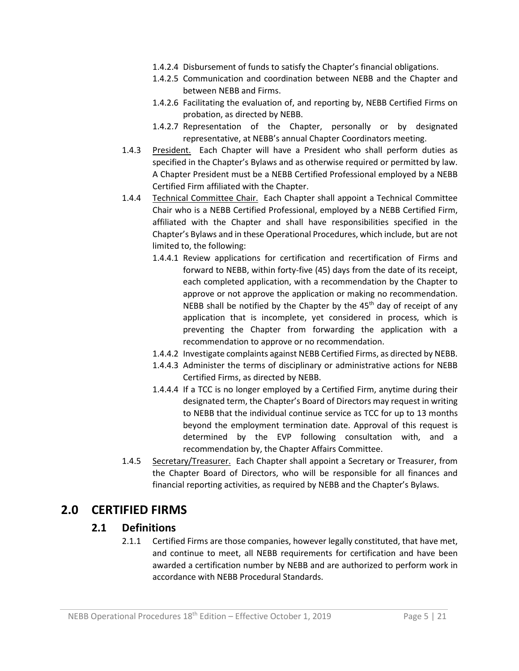- 1.4.2.4 Disbursement of funds to satisfy the Chapter's financial obligations.
- 1.4.2.5 Communication and coordination between NEBB and the Chapter and between NEBB and Firms.
- 1.4.2.6 Facilitating the evaluation of, and reporting by, NEBB Certified Firms on probation, as directed by NEBB.
- 1.4.2.7 Representation of the Chapter, personally or by designated representative, at NEBB's annual Chapter Coordinators meeting.
- 1.4.3 President. Each Chapter will have a President who shall perform duties as specified in the Chapter's Bylaws and as otherwise required or permitted by law. A Chapter President must be a NEBB Certified Professional employed by a NEBB Certified Firm affiliated with the Chapter.
- 1.4.4 Technical Committee Chair. Each Chapter shall appoint a Technical Committee Chair who is a NEBB Certified Professional, employed by a NEBB Certified Firm, affiliated with the Chapter and shall have responsibilities specified in the Chapter's Bylaws and in these Operational Procedures, which include, but are not limited to, the following:
	- 1.4.4.1 Review applications for certification and recertification of Firms and forward to NEBB, within forty-five (45) days from the date of its receipt, each completed application, with a recommendation by the Chapter to approve or not approve the application or making no recommendation. NEBB shall be notified by the Chapter by the  $45<sup>th</sup>$  day of receipt of any application that is incomplete, yet considered in process, which is preventing the Chapter from forwarding the application with a recommendation to approve or no recommendation.
	- 1.4.4.2 Investigate complaints against NEBB Certified Firms, as directed by NEBB.
	- 1.4.4.3 Administer the terms of disciplinary or administrative actions for NEBB Certified Firms, as directed by NEBB.
	- 1.4.4.4 If a TCC is no longer employed by a Certified Firm, anytime during their designated term, the Chapter's Board of Directors may request in writing to NEBB that the individual continue service as TCC for up to 13 months beyond the employment termination date. Approval of this request is determined by the EVP following consultation with, and a recommendation by, the Chapter Affairs Committee.
- 1.4.5 Secretary/Treasurer. Each Chapter shall appoint a Secretary or Treasurer, from the Chapter Board of Directors, who will be responsible for all finances and financial reporting activities, as required by NEBB and the Chapter's Bylaws.

## <span id="page-4-1"></span><span id="page-4-0"></span>**2.0 CERTIFIED FIRMS**

#### **2.1 Definitions**

2.1.1 Certified Firms are those companies, however legally constituted, that have met, and continue to meet, all NEBB requirements for certification and have been awarded a certification number by NEBB and are authorized to perform work in accordance with NEBB Procedural Standards.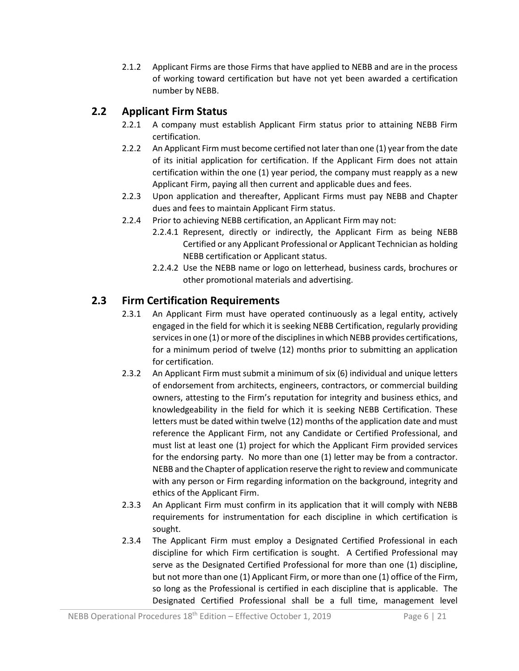2.1.2 Applicant Firms are those Firms that have applied to NEBB and are in the process of working toward certification but have not yet been awarded a certification number by NEBB.

#### <span id="page-5-0"></span>**2.2 Applicant Firm Status**

- 2.2.1 A company must establish Applicant Firm status prior to attaining NEBB Firm certification.
- 2.2.2 An Applicant Firm must become certified not later than one (1) year from the date of its initial application for certification. If the Applicant Firm does not attain certification within the one (1) year period, the company must reapply as a new Applicant Firm, paying all then current and applicable dues and fees.
- 2.2.3 Upon application and thereafter, Applicant Firms must pay NEBB and Chapter dues and fees to maintain Applicant Firm status.
- 2.2.4 Prior to achieving NEBB certification, an Applicant Firm may not:
	- 2.2.4.1 Represent, directly or indirectly, the Applicant Firm as being NEBB Certified or any Applicant Professional or Applicant Technician as holding NEBB certification or Applicant status.
		- 2.2.4.2 Use the NEBB name or logo on letterhead, business cards, brochures or other promotional materials and advertising.

#### <span id="page-5-1"></span>**2.3 Firm Certification Requirements**

- 2.3.1 An Applicant Firm must have operated continuously as a legal entity, actively engaged in the field for which it is seeking NEBB Certification, regularly providing services in one (1) or more of the disciplines in which NEBB provides certifications, for a minimum period of twelve (12) months prior to submitting an application for certification.
- 2.3.2 An Applicant Firm must submit a minimum of six (6) individual and unique letters of endorsement from architects, engineers, contractors, or commercial building owners, attesting to the Firm's reputation for integrity and business ethics, and knowledgeability in the field for which it is seeking NEBB Certification. These letters must be dated within twelve (12) months of the application date and must reference the Applicant Firm, not any Candidate or Certified Professional, and must list at least one (1) project for which the Applicant Firm provided services for the endorsing party. No more than one (1) letter may be from a contractor. NEBB and the Chapter of application reserve the right to review and communicate with any person or Firm regarding information on the background, integrity and ethics of the Applicant Firm.
- 2.3.3 An Applicant Firm must confirm in its application that it will comply with NEBB requirements for instrumentation for each discipline in which certification is sought.
- 2.3.4 The Applicant Firm must employ a Designated Certified Professional in each discipline for which Firm certification is sought. A Certified Professional may serve as the Designated Certified Professional for more than one (1) discipline, but not more than one (1) Applicant Firm, or more than one (1) office of the Firm, so long as the Professional is certified in each discipline that is applicable. The Designated Certified Professional shall be a full time, management level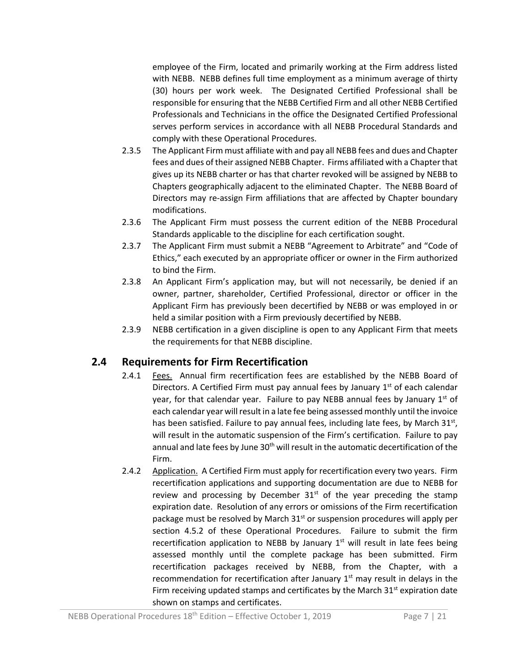employee of the Firm, located and primarily working at the Firm address listed with NEBB. NEBB defines full time employment as a minimum average of thirty (30) hours per work week. The Designated Certified Professional shall be responsible for ensuring that the NEBB Certified Firm and all other NEBB Certified Professionals and Technicians in the office the Designated Certified Professional serves perform services in accordance with all NEBB Procedural Standards and comply with these Operational Procedures.

- 2.3.5 The Applicant Firm must affiliate with and pay all NEBB fees and dues and Chapter fees and dues of their assigned NEBB Chapter. Firms affiliated with a Chapter that gives up its NEBB charter or has that charter revoked will be assigned by NEBB to Chapters geographically adjacent to the eliminated Chapter. The NEBB Board of Directors may re-assign Firm affiliations that are affected by Chapter boundary modifications.
- 2.3.6 The Applicant Firm must possess the current edition of the NEBB Procedural Standards applicable to the discipline for each certification sought.
- 2.3.7 The Applicant Firm must submit a NEBB "Agreement to Arbitrate" and "Code of Ethics," each executed by an appropriate officer or owner in the Firm authorized to bind the Firm.
- 2.3.8 An Applicant Firm's application may, but will not necessarily, be denied if an owner, partner, shareholder, Certified Professional, director or officer in the Applicant Firm has previously been decertified by NEBB or was employed in or held a similar position with a Firm previously decertified by NEBB.
- 2.3.9 NEBB certification in a given discipline is open to any Applicant Firm that meets the requirements for that NEBB discipline.

#### <span id="page-6-0"></span>**2.4 Requirements for Firm Recertification**

- 2.4.1 Fees. Annual firm recertification fees are established by the NEBB Board of Directors. A Certified Firm must pay annual fees by January 1<sup>st</sup> of each calendar year, for that calendar year. Failure to pay NEBB annual fees by January  $1^{st}$  of each calendar year will result in a late fee being assessed monthly until the invoice has been satisfied. Failure to pay annual fees, including late fees, by March 31<sup>st</sup>, will result in the automatic suspension of the Firm's certification. Failure to pay annual and late fees by June 30<sup>th</sup> will result in the automatic decertification of the Firm.
- 2.4.2 Application. A Certified Firm must apply for recertification every two years. Firm recertification applications and supporting documentation are due to NEBB for review and processing by December  $31<sup>st</sup>$  of the year preceding the stamp expiration date. Resolution of any errors or omissions of the Firm recertification package must be resolved by March  $31<sup>st</sup>$  or suspension procedures will apply per section 4.5.2 of these Operational Procedures. Failure to submit the firm recertification application to NEBB by January  $1<sup>st</sup>$  will result in late fees being assessed monthly until the complete package has been submitted. Firm recertification packages received by NEBB, from the Chapter, with a recommendation for recertification after January  $1<sup>st</sup>$  may result in delays in the Firm receiving updated stamps and certificates by the March  $31<sup>st</sup>$  expiration date shown on stamps and certificates.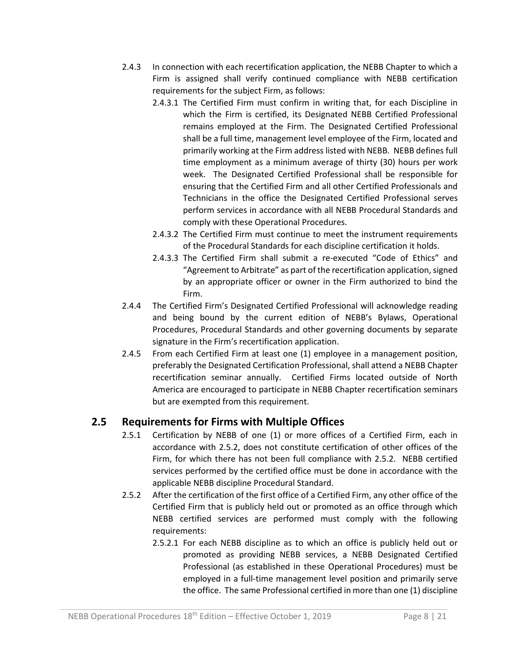- 2.4.3 In connection with each recertification application, the NEBB Chapter to which a Firm is assigned shall verify continued compliance with NEBB certification requirements for the subject Firm, as follows:
	- 2.4.3.1 The Certified Firm must confirm in writing that, for each Discipline in which the Firm is certified, its Designated NEBB Certified Professional remains employed at the Firm. The Designated Certified Professional shall be a full time, management level employee of the Firm, located and primarily working at the Firm address listed with NEBB. NEBB defines full time employment as a minimum average of thirty (30) hours per work week. The Designated Certified Professional shall be responsible for ensuring that the Certified Firm and all other Certified Professionals and Technicians in the office the Designated Certified Professional serves perform services in accordance with all NEBB Procedural Standards and comply with these Operational Procedures.
	- 2.4.3.2 The Certified Firm must continue to meet the instrument requirements of the Procedural Standards for each discipline certification it holds.
	- 2.4.3.3 The Certified Firm shall submit a re-executed "Code of Ethics" and "Agreement to Arbitrate" as part of the recertification application, signed by an appropriate officer or owner in the Firm authorized to bind the Firm.
- 2.4.4 The Certified Firm's Designated Certified Professional will acknowledge reading and being bound by the current edition of NEBB's Bylaws, Operational Procedures, Procedural Standards and other governing documents by separate signature in the Firm's recertification application.
- 2.4.5 From each Certified Firm at least one (1) employee in a management position, preferably the Designated Certification Professional, shall attend a NEBB Chapter recertification seminar annually. Certified Firms located outside of North America are encouraged to participate in NEBB Chapter recertification seminars but are exempted from this requirement.

#### <span id="page-7-0"></span>**2.5 Requirements for Firms with Multiple Offices**

- 2.5.1 Certification by NEBB of one (1) or more offices of a Certified Firm, each in accordance with 2.5.2, does not constitute certification of other offices of the Firm, for which there has not been full compliance with 2.5.2. NEBB certified services performed by the certified office must be done in accordance with the applicable NEBB discipline Procedural Standard.
- 2.5.2 After the certification of the first office of a Certified Firm, any other office of the Certified Firm that is publicly held out or promoted as an office through which NEBB certified services are performed must comply with the following requirements:
	- 2.5.2.1 For each NEBB discipline as to which an office is publicly held out or promoted as providing NEBB services, a NEBB Designated Certified Professional (as established in these Operational Procedures) must be employed in a full-time management level position and primarily serve the office. The same Professional certified in more than one (1) discipline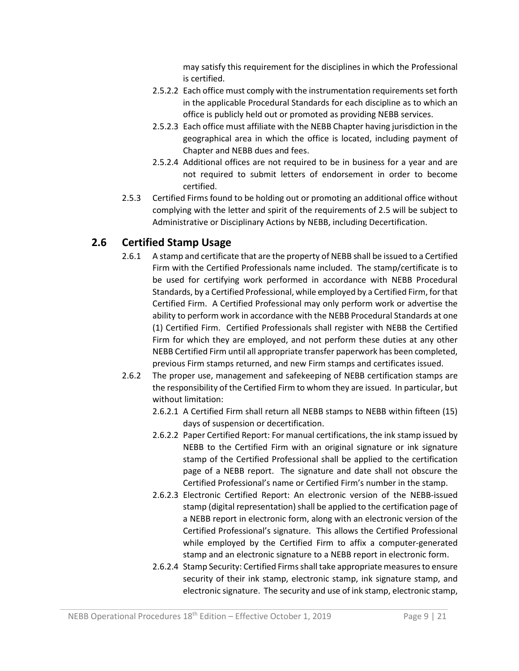may satisfy this requirement for the disciplines in which the Professional is certified.

- 2.5.2.2 Each office must comply with the instrumentation requirements set forth in the applicable Procedural Standards for each discipline as to which an office is publicly held out or promoted as providing NEBB services.
- 2.5.2.3 Each office must affiliate with the NEBB Chapter having jurisdiction in the geographical area in which the office is located, including payment of Chapter and NEBB dues and fees.
- 2.5.2.4 Additional offices are not required to be in business for a year and are not required to submit letters of endorsement in order to become certified.
- 2.5.3 Certified Firms found to be holding out or promoting an additional office without complying with the letter and spirit of the requirements of 2.5 will be subject to Administrative or Disciplinary Actions by NEBB, including Decertification.

## <span id="page-8-0"></span>**2.6 Certified Stamp Usage**

- 2.6.1 A stamp and certificate that are the property of NEBB shall be issued to a Certified Firm with the Certified Professionals name included. The stamp/certificate is to be used for certifying work performed in accordance with NEBB Procedural Standards, by a Certified Professional, while employed by a Certified Firm, for that Certified Firm. A Certified Professional may only perform work or advertise the ability to perform work in accordance with the NEBB Procedural Standards at one (1) Certified Firm. Certified Professionals shall register with NEBB the Certified Firm for which they are employed, and not perform these duties at any other NEBB Certified Firm until all appropriate transfer paperwork has been completed, previous Firm stamps returned, and new Firm stamps and certificates issued.
- 2.6.2 The proper use, management and safekeeping of NEBB certification stamps are the responsibility of the Certified Firm to whom they are issued. In particular, but without limitation:
	- 2.6.2.1 A Certified Firm shall return all NEBB stamps to NEBB within fifteen (15) days of suspension or decertification.
	- 2.6.2.2 Paper Certified Report: For manual certifications, the ink stamp issued by NEBB to the Certified Firm with an original signature or ink signature stamp of the Certified Professional shall be applied to the certification page of a NEBB report. The signature and date shall not obscure the Certified Professional's name or Certified Firm's number in the stamp.
	- 2.6.2.3 Electronic Certified Report: An electronic version of the NEBB-issued stamp (digital representation) shall be applied to the certification page of a NEBB report in electronic form, along with an electronic version of the Certified Professional's signature. This allows the Certified Professional while employed by the Certified Firm to affix a computer-generated stamp and an electronic signature to a NEBB report in electronic form.
	- 2.6.2.4 Stamp Security: Certified Firms shall take appropriate measures to ensure security of their ink stamp, electronic stamp, ink signature stamp, and electronic signature. The security and use of ink stamp, electronic stamp,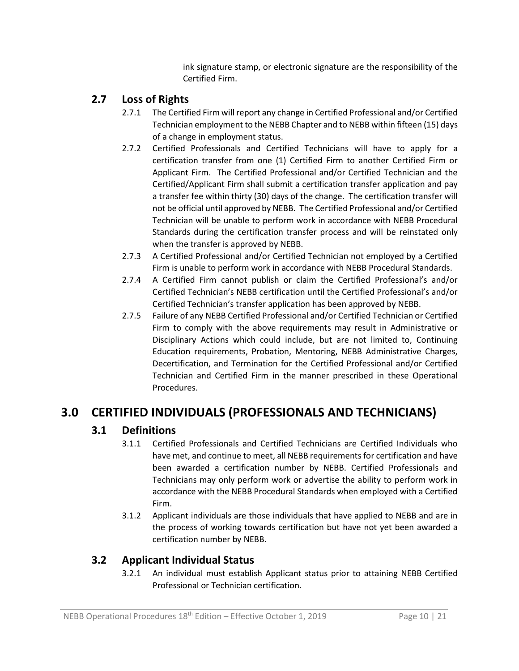ink signature stamp, or electronic signature are the responsibility of the Certified Firm.

#### <span id="page-9-0"></span>**2.7 Loss of Rights**

- 2.7.1 The Certified Firm will report any change in Certified Professional and/or Certified Technician employment to the NEBB Chapter and to NEBB within fifteen (15) days of a change in employment status.
- 2.7.2 Certified Professionals and Certified Technicians will have to apply for a certification transfer from one (1) Certified Firm to another Certified Firm or Applicant Firm. The Certified Professional and/or Certified Technician and the Certified/Applicant Firm shall submit a certification transfer application and pay a transfer fee within thirty (30) days of the change. The certification transfer will not be official until approved by NEBB. The Certified Professional and/or Certified Technician will be unable to perform work in accordance with NEBB Procedural Standards during the certification transfer process and will be reinstated only when the transfer is approved by NEBB.
- 2.7.3 A Certified Professional and/or Certified Technician not employed by a Certified Firm is unable to perform work in accordance with NEBB Procedural Standards.
- 2.7.4 A Certified Firm cannot publish or claim the Certified Professional's and/or Certified Technician's NEBB certification until the Certified Professional's and/or Certified Technician's transfer application has been approved by NEBB.
- 2.7.5 Failure of any NEBB Certified Professional and/or Certified Technician or Certified Firm to comply with the above requirements may result in Administrative or Disciplinary Actions which could include, but are not limited to, Continuing Education requirements, Probation, Mentoring, NEBB Administrative Charges, Decertification, and Termination for the Certified Professional and/or Certified Technician and Certified Firm in the manner prescribed in these Operational Procedures.

## <span id="page-9-2"></span><span id="page-9-1"></span>**3.0 CERTIFIED INDIVIDUALS (PROFESSIONALS AND TECHNICIANS)**

#### **3.1 Definitions**

- 3.1.1 Certified Professionals and Certified Technicians are Certified Individuals who have met, and continue to meet, all NEBB requirements for certification and have been awarded a certification number by NEBB. Certified Professionals and Technicians may only perform work or advertise the ability to perform work in accordance with the NEBB Procedural Standards when employed with a Certified Firm.
- 3.1.2 Applicant individuals are those individuals that have applied to NEBB and are in the process of working towards certification but have not yet been awarded a certification number by NEBB.

#### <span id="page-9-3"></span>**3.2 Applicant Individual Status**

3.2.1 An individual must establish Applicant status prior to attaining NEBB Certified Professional or Technician certification.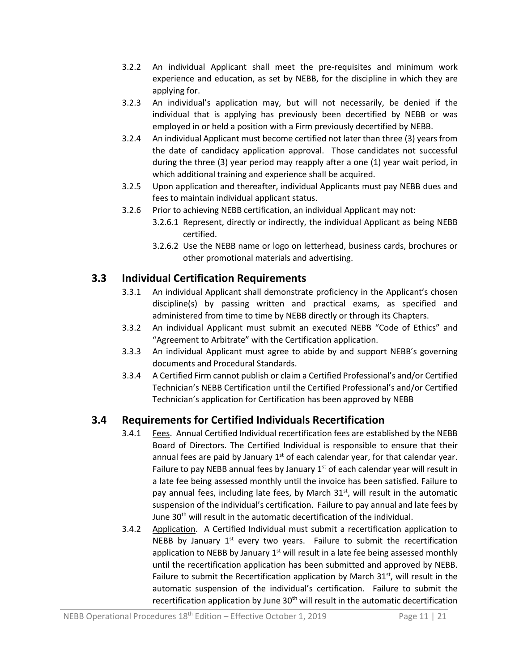- 3.2.2 An individual Applicant shall meet the pre-requisites and minimum work experience and education, as set by NEBB, for the discipline in which they are applying for.
- 3.2.3 An individual's application may, but will not necessarily, be denied if the individual that is applying has previously been decertified by NEBB or was employed in or held a position with a Firm previously decertified by NEBB.
- 3.2.4 An individual Applicant must become certified not later than three (3) years from the date of candidacy application approval. Those candidates not successful during the three (3) year period may reapply after a one (1) year wait period, in which additional training and experience shall be acquired.
- 3.2.5 Upon application and thereafter, individual Applicants must pay NEBB dues and fees to maintain individual applicant status.
- 3.2.6 Prior to achieving NEBB certification, an individual Applicant may not:
	- 3.2.6.1 Represent, directly or indirectly, the individual Applicant as being NEBB certified.
		- 3.2.6.2 Use the NEBB name or logo on letterhead, business cards, brochures or other promotional materials and advertising.

#### <span id="page-10-0"></span>**3.3 Individual Certification Requirements**

- 3.3.1 An individual Applicant shall demonstrate proficiency in the Applicant's chosen discipline(s) by passing written and practical exams, as specified and administered from time to time by NEBB directly or through its Chapters.
- 3.3.2 An individual Applicant must submit an executed NEBB "Code of Ethics" and "Agreement to Arbitrate" with the Certification application.
- 3.3.3 An individual Applicant must agree to abide by and support NEBB's governing documents and Procedural Standards.
- 3.3.4 A Certified Firm cannot publish or claim a Certified Professional's and/or Certified Technician's NEBB Certification until the Certified Professional's and/or Certified Technician's application for Certification has been approved by NEBB

#### <span id="page-10-1"></span>**3.4 Requirements for Certified Individuals Recertification**

- 3.4.1 Fees. Annual Certified Individual recertification fees are established by the NEBB Board of Directors. The Certified Individual is responsible to ensure that their annual fees are paid by January  $1<sup>st</sup>$  of each calendar year, for that calendar year. Failure to pay NEBB annual fees by January  $1<sup>st</sup>$  of each calendar year will result in a late fee being assessed monthly until the invoice has been satisfied. Failure to pay annual fees, including late fees, by March  $31<sup>st</sup>$ , will result in the automatic suspension of the individual's certification. Failure to pay annual and late fees by June 30<sup>th</sup> will result in the automatic decertification of the individual.
- 3.4.2 Application. A Certified Individual must submit a recertification application to NEBB by January  $1<sup>st</sup>$  every two years. Failure to submit the recertification application to NEBB by January  $1<sup>st</sup>$  will result in a late fee being assessed monthly until the recertification application has been submitted and approved by NEBB. Failure to submit the Recertification application by March  $31<sup>st</sup>$ , will result in the automatic suspension of the individual's certification. Failure to submit the recertification application by June 30<sup>th</sup> will result in the automatic decertification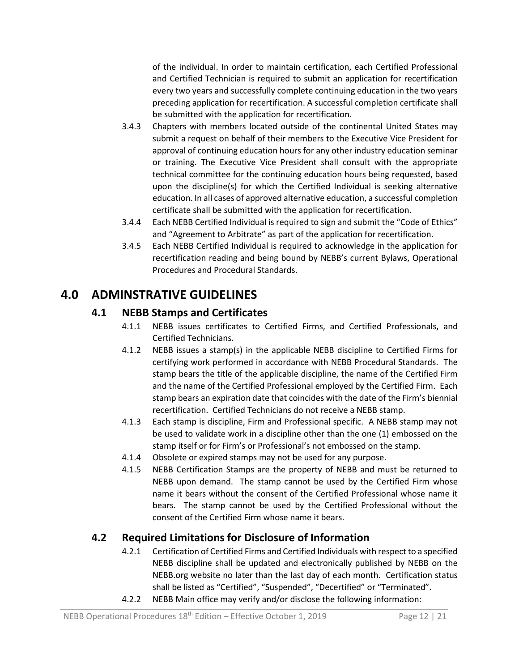of the individual. In order to maintain certification, each Certified Professional and Certified Technician is required to submit an application for recertification every two years and successfully complete continuing education in the two years preceding application for recertification. A successful completion certificate shall be submitted with the application for recertification.

- 3.4.3 Chapters with members located outside of the continental United States may submit a request on behalf of their members to the Executive Vice President for approval of continuing education hours for any other industry education seminar or training. The Executive Vice President shall consult with the appropriate technical committee for the continuing education hours being requested, based upon the discipline(s) for which the Certified Individual is seeking alternative education. In all cases of approved alternative education, a successful completion certificate shall be submitted with the application for recertification.
- 3.4.4 Each NEBB Certified Individual is required to sign and submit the "Code of Ethics" and "Agreement to Arbitrate" as part of the application for recertification.
- 3.4.5 Each NEBB Certified Individual is required to acknowledge in the application for recertification reading and being bound by NEBB's current Bylaws, Operational Procedures and Procedural Standards.

## <span id="page-11-1"></span><span id="page-11-0"></span>**4.0 ADMINSTRATIVE GUIDELINES**

#### **4.1 NEBB Stamps and Certificates**

- 4.1.1 NEBB issues certificates to Certified Firms, and Certified Professionals, and Certified Technicians.
- 4.1.2 NEBB issues a stamp(s) in the applicable NEBB discipline to Certified Firms for certifying work performed in accordance with NEBB Procedural Standards. The stamp bears the title of the applicable discipline, the name of the Certified Firm and the name of the Certified Professional employed by the Certified Firm. Each stamp bears an expiration date that coincides with the date of the Firm's biennial recertification. Certified Technicians do not receive a NEBB stamp.
- 4.1.3 Each stamp is discipline, Firm and Professional specific. A NEBB stamp may not be used to validate work in a discipline other than the one (1) embossed on the stamp itself or for Firm's or Professional's not embossed on the stamp.
- 4.1.4 Obsolete or expired stamps may not be used for any purpose.
- 4.1.5 NEBB Certification Stamps are the property of NEBB and must be returned to NEBB upon demand. The stamp cannot be used by the Certified Firm whose name it bears without the consent of the Certified Professional whose name it bears. The stamp cannot be used by the Certified Professional without the consent of the Certified Firm whose name it bears.

## <span id="page-11-2"></span>**4.2 Required Limitations for Disclosure of Information**

- 4.2.1 Certification of Certified Firms and Certified Individuals with respect to a specified NEBB discipline shall be updated and electronically published by NEBB on the NEBB.org website no later than the last day of each month. Certification status shall be listed as "Certified", "Suspended", "Decertified" or "Terminated".
- 4.2.2 NEBB Main office may verify and/or disclose the following information: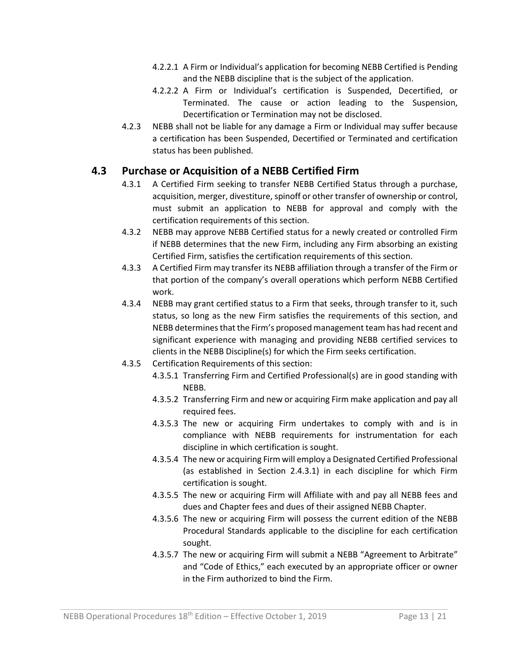- 4.2.2.1 A Firm or Individual's application for becoming NEBB Certified is Pending and the NEBB discipline that is the subject of the application.
- 4.2.2.2 A Firm or Individual's certification is Suspended, Decertified, or Terminated. The cause or action leading to the Suspension, Decertification or Termination may not be disclosed.
- 4.2.3 NEBB shall not be liable for any damage a Firm or Individual may suffer because a certification has been Suspended, Decertified or Terminated and certification status has been published.

#### <span id="page-12-0"></span>**4.3 Purchase or Acquisition of a NEBB Certified Firm**

- 4.3.1 A Certified Firm seeking to transfer NEBB Certified Status through a purchase, acquisition, merger, divestiture, spinoff or other transfer of ownership or control, must submit an application to NEBB for approval and comply with the certification requirements of this section.
- 4.3.2 NEBB may approve NEBB Certified status for a newly created or controlled Firm if NEBB determines that the new Firm, including any Firm absorbing an existing Certified Firm, satisfies the certification requirements of this section.
- 4.3.3 A Certified Firm may transfer its NEBB affiliation through a transfer of the Firm or that portion of the company's overall operations which perform NEBB Certified work.
- 4.3.4 NEBB may grant certified status to a Firm that seeks, through transfer to it, such status, so long as the new Firm satisfies the requirements of this section, and NEBB determines that the Firm's proposed management team has had recent and significant experience with managing and providing NEBB certified services to clients in the NEBB Discipline(s) for which the Firm seeks certification.
- 4.3.5 Certification Requirements of this section:
	- 4.3.5.1 Transferring Firm and Certified Professional(s) are in good standing with NEBB.
	- 4.3.5.2 Transferring Firm and new or acquiring Firm make application and pay all required fees.
	- 4.3.5.3 The new or acquiring Firm undertakes to comply with and is in compliance with NEBB requirements for instrumentation for each discipline in which certification is sought.
	- 4.3.5.4 The new or acquiring Firm will employ a Designated Certified Professional (as established in Section 2.4.3.1) in each discipline for which Firm certification is sought.
	- 4.3.5.5 The new or acquiring Firm will Affiliate with and pay all NEBB fees and dues and Chapter fees and dues of their assigned NEBB Chapter.
	- 4.3.5.6 The new or acquiring Firm will possess the current edition of the NEBB Procedural Standards applicable to the discipline for each certification sought.
	- 4.3.5.7 The new or acquiring Firm will submit a NEBB "Agreement to Arbitrate" and "Code of Ethics," each executed by an appropriate officer or owner in the Firm authorized to bind the Firm.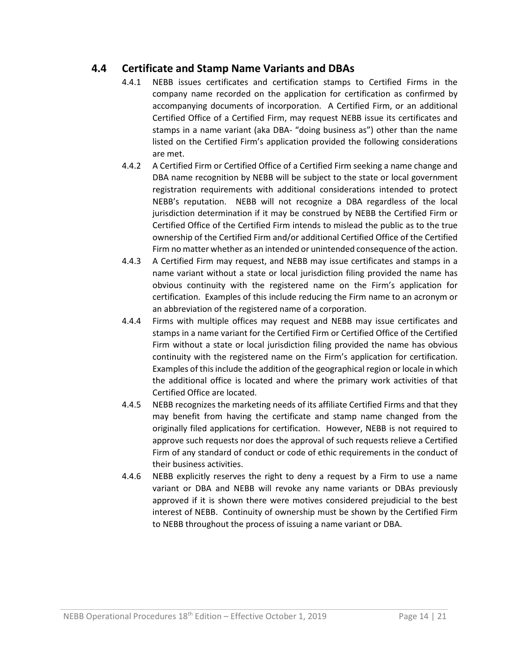#### <span id="page-13-0"></span>**4.4 Certificate and Stamp Name Variants and DBAs**

- 4.4.1 NEBB issues certificates and certification stamps to Certified Firms in the company name recorded on the application for certification as confirmed by accompanying documents of incorporation. A Certified Firm, or an additional Certified Office of a Certified Firm, may request NEBB issue its certificates and stamps in a name variant (aka DBA- "doing business as") other than the name listed on the Certified Firm's application provided the following considerations are met.
- 4.4.2 A Certified Firm or Certified Office of a Certified Firm seeking a name change and DBA name recognition by NEBB will be subject to the state or local government registration requirements with additional considerations intended to protect NEBB's reputation. NEBB will not recognize a DBA regardless of the local jurisdiction determination if it may be construed by NEBB the Certified Firm or Certified Office of the Certified Firm intends to mislead the public as to the true ownership of the Certified Firm and/or additional Certified Office of the Certified Firm no matter whether as an intended or unintended consequence of the action.
- 4.4.3 A Certified Firm may request, and NEBB may issue certificates and stamps in a name variant without a state or local jurisdiction filing provided the name has obvious continuity with the registered name on the Firm's application for certification. Examples of this include reducing the Firm name to an acronym or an abbreviation of the registered name of a corporation.
- 4.4.4 Firms with multiple offices may request and NEBB may issue certificates and stamps in a name variant for the Certified Firm or Certified Office of the Certified Firm without a state or local jurisdiction filing provided the name has obvious continuity with the registered name on the Firm's application for certification. Examples of this include the addition of the geographical region or locale in which the additional office is located and where the primary work activities of that Certified Office are located.
- 4.4.5 NEBB recognizes the marketing needs of its affiliate Certified Firms and that they may benefit from having the certificate and stamp name changed from the originally filed applications for certification. However, NEBB is not required to approve such requests nor does the approval of such requests relieve a Certified Firm of any standard of conduct or code of ethic requirements in the conduct of their business activities.
- 4.4.6 NEBB explicitly reserves the right to deny a request by a Firm to use a name variant or DBA and NEBB will revoke any name variants or DBAs previously approved if it is shown there were motives considered prejudicial to the best interest of NEBB. Continuity of ownership must be shown by the Certified Firm to NEBB throughout the process of issuing a name variant or DBA.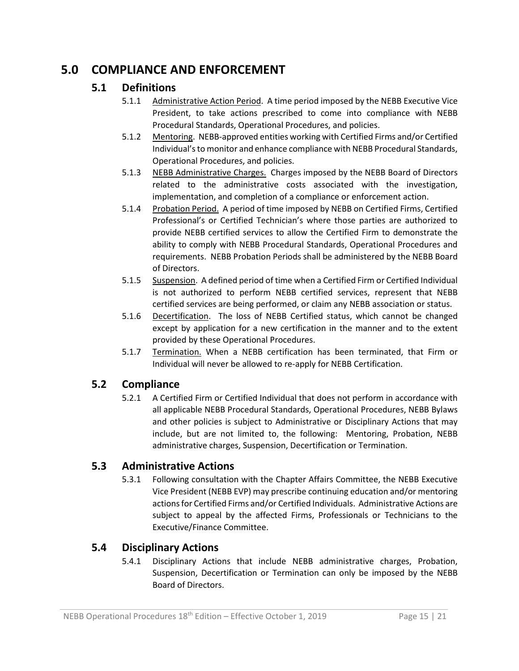## <span id="page-14-1"></span><span id="page-14-0"></span>**5.0 COMPLIANCE AND ENFORCEMENT**

#### **5.1 Definitions**

- 5.1.1 Administrative Action Period. A time period imposed by the NEBB Executive Vice President, to take actions prescribed to come into compliance with NEBB Procedural Standards, Operational Procedures, and policies.
- 5.1.2 Mentoring. NEBB-approved entities working with Certified Firms and/or Certified Individual's to monitor and enhance compliance with NEBB Procedural Standards, Operational Procedures, and policies.
- 5.1.3 NEBB Administrative Charges. Charges imposed by the NEBB Board of Directors related to the administrative costs associated with the investigation, implementation, and completion of a compliance or enforcement action.
- 5.1.4 Probation Period. A period of time imposed by NEBB on Certified Firms, Certified Professional's or Certified Technician's where those parties are authorized to provide NEBB certified services to allow the Certified Firm to demonstrate the ability to comply with NEBB Procedural Standards, Operational Procedures and requirements. NEBB Probation Periods shall be administered by the NEBB Board of Directors.
- 5.1.5 Suspension. A defined period of time when a Certified Firm or Certified Individual is not authorized to perform NEBB certified services, represent that NEBB certified services are being performed, or claim any NEBB association or status.
- 5.1.6 Decertification. The loss of NEBB Certified status, which cannot be changed except by application for a new certification in the manner and to the extent provided by these Operational Procedures.
- 5.1.7 Termination. When a NEBB certification has been terminated, that Firm or Individual will never be allowed to re-apply for NEBB Certification.

#### <span id="page-14-2"></span>**5.2 Compliance**

5.2.1 A Certified Firm or Certified Individual that does not perform in accordance with all applicable NEBB Procedural Standards, Operational Procedures, NEBB Bylaws and other policies is subject to Administrative or Disciplinary Actions that may include, but are not limited to, the following: Mentoring, Probation, NEBB administrative charges, Suspension, Decertification or Termination.

#### <span id="page-14-3"></span>**5.3 Administrative Actions**

5.3.1 Following consultation with the Chapter Affairs Committee, the NEBB Executive Vice President (NEBB EVP) may prescribe continuing education and/or mentoring actions for Certified Firms and/or Certified Individuals. Administrative Actions are subject to appeal by the affected Firms, Professionals or Technicians to the Executive/Finance Committee.

#### <span id="page-14-4"></span>**5.4 Disciplinary Actions**

5.4.1 Disciplinary Actions that include NEBB administrative charges, Probation, Suspension, Decertification or Termination can only be imposed by the NEBB Board of Directors.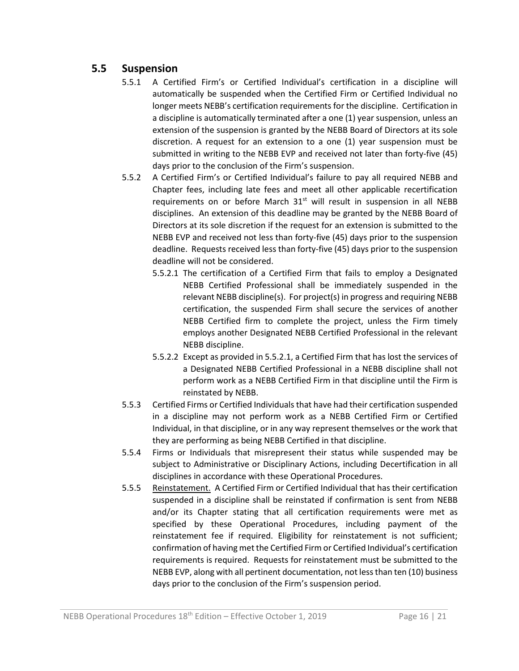#### <span id="page-15-0"></span>**5.5 Suspension**

- 5.5.1 A Certified Firm's or Certified Individual's certification in a discipline will automatically be suspended when the Certified Firm or Certified Individual no longer meets NEBB's certification requirements for the discipline. Certification in a discipline is automatically terminated after a one (1) year suspension, unless an extension of the suspension is granted by the NEBB Board of Directors at its sole discretion. A request for an extension to a one (1) year suspension must be submitted in writing to the NEBB EVP and received not later than forty-five (45) days prior to the conclusion of the Firm's suspension.
- 5.5.2 A Certified Firm's or Certified Individual's failure to pay all required NEBB and Chapter fees, including late fees and meet all other applicable recertification requirements on or before March 31<sup>st</sup> will result in suspension in all NEBB disciplines. An extension of this deadline may be granted by the NEBB Board of Directors at its sole discretion if the request for an extension is submitted to the NEBB EVP and received not less than forty-five (45) days prior to the suspension deadline. Requests received less than forty-five (45) days prior to the suspension deadline will not be considered.
	- 5.5.2.1 The certification of a Certified Firm that fails to employ a Designated NEBB Certified Professional shall be immediately suspended in the relevant NEBB discipline(s). For project(s) in progress and requiring NEBB certification, the suspended Firm shall secure the services of another NEBB Certified firm to complete the project, unless the Firm timely employs another Designated NEBB Certified Professional in the relevant NEBB discipline.
	- 5.5.2.2 Except as provided in 5.5.2.1, a Certified Firm that has lost the services of a Designated NEBB Certified Professional in a NEBB discipline shall not perform work as a NEBB Certified Firm in that discipline until the Firm is reinstated by NEBB.
- 5.5.3 Certified Firms or Certified Individuals that have had their certification suspended in a discipline may not perform work as a NEBB Certified Firm or Certified Individual, in that discipline, or in any way represent themselves or the work that they are performing as being NEBB Certified in that discipline.
- 5.5.4 Firms or Individuals that misrepresent their status while suspended may be subject to Administrative or Disciplinary Actions, including Decertification in all disciplines in accordance with these Operational Procedures.
- 5.5.5 Reinstatement. A Certified Firm or Certified Individual that has their certification suspended in a discipline shall be reinstated if confirmation is sent from NEBB and/or its Chapter stating that all certification requirements were met as specified by these Operational Procedures, including payment of the reinstatement fee if required. Eligibility for reinstatement is not sufficient; confirmation of having met the Certified Firm or Certified Individual's certification requirements is required. Requests for reinstatement must be submitted to the NEBB EVP, along with all pertinent documentation, not less than ten (10) business days prior to the conclusion of the Firm's suspension period.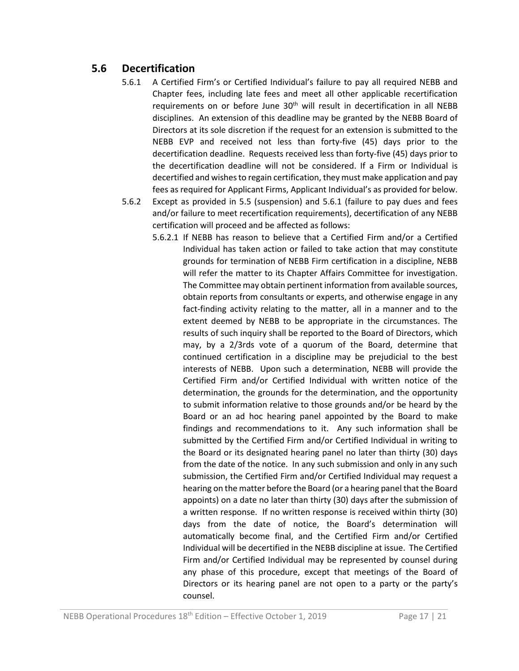#### <span id="page-16-0"></span>**5.6 Decertification**

- 5.6.1 A Certified Firm's or Certified Individual's failure to pay all required NEBB and Chapter fees, including late fees and meet all other applicable recertification requirements on or before June 30<sup>th</sup> will result in decertification in all NEBB disciplines. An extension of this deadline may be granted by the NEBB Board of Directors at its sole discretion if the request for an extension is submitted to the NEBB EVP and received not less than forty-five (45) days prior to the decertification deadline. Requests received less than forty-five (45) days prior to the decertification deadline will not be considered. If a Firm or Individual is decertified and wishes to regain certification, they must make application and pay fees as required for Applicant Firms, Applicant Individual's as provided for below.
- 5.6.2 Except as provided in 5.5 (suspension) and 5.6.1 (failure to pay dues and fees and/or failure to meet recertification requirements), decertification of any NEBB certification will proceed and be affected as follows:
	- 5.6.2.1 If NEBB has reason to believe that a Certified Firm and/or a Certified Individual has taken action or failed to take action that may constitute grounds for termination of NEBB Firm certification in a discipline, NEBB will refer the matter to its Chapter Affairs Committee for investigation. The Committee may obtain pertinent information from available sources, obtain reports from consultants or experts, and otherwise engage in any fact-finding activity relating to the matter, all in a manner and to the extent deemed by NEBB to be appropriate in the circumstances. The results of such inquiry shall be reported to the Board of Directors, which may, by a 2/3rds vote of a quorum of the Board, determine that continued certification in a discipline may be prejudicial to the best interests of NEBB. Upon such a determination, NEBB will provide the Certified Firm and/or Certified Individual with written notice of the determination, the grounds for the determination, and the opportunity to submit information relative to those grounds and/or be heard by the Board or an ad hoc hearing panel appointed by the Board to make findings and recommendations to it. Any such information shall be submitted by the Certified Firm and/or Certified Individual in writing to the Board or its designated hearing panel no later than thirty (30) days from the date of the notice. In any such submission and only in any such submission, the Certified Firm and/or Certified Individual may request a hearing on the matter before the Board (or a hearing panel that the Board appoints) on a date no later than thirty (30) days after the submission of a written response. If no written response is received within thirty (30) days from the date of notice, the Board's determination will automatically become final, and the Certified Firm and/or Certified Individual will be decertified in the NEBB discipline at issue. The Certified Firm and/or Certified Individual may be represented by counsel during any phase of this procedure, except that meetings of the Board of Directors or its hearing panel are not open to a party or the party's counsel.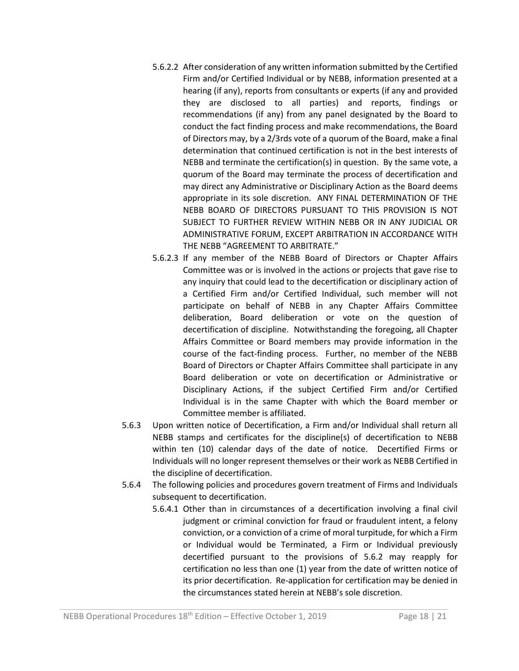- 5.6.2.2 After consideration of any written information submitted by the Certified Firm and/or Certified Individual or by NEBB, information presented at a hearing (if any), reports from consultants or experts (if any and provided they are disclosed to all parties) and reports, findings or recommendations (if any) from any panel designated by the Board to conduct the fact finding process and make recommendations, the Board of Directors may, by a 2/3rds vote of a quorum of the Board, make a final determination that continued certification is not in the best interests of NEBB and terminate the certification(s) in question. By the same vote, a quorum of the Board may terminate the process of decertification and may direct any Administrative or Disciplinary Action as the Board deems appropriate in its sole discretion. ANY FINAL DETERMINATION OF THE NEBB BOARD OF DIRECTORS PURSUANT TO THIS PROVISION IS NOT SUBJECT TO FURTHER REVIEW WITHIN NEBB OR IN ANY JUDICIAL OR ADMINISTRATIVE FORUM, EXCEPT ARBITRATION IN ACCORDANCE WITH THE NEBB "AGREEMENT TO ARBITRATE."
- 5.6.2.3 If any member of the NEBB Board of Directors or Chapter Affairs Committee was or is involved in the actions or projects that gave rise to any inquiry that could lead to the decertification or disciplinary action of a Certified Firm and/or Certified Individual, such member will not participate on behalf of NEBB in any Chapter Affairs Committee deliberation, Board deliberation or vote on the question of decertification of discipline. Notwithstanding the foregoing, all Chapter Affairs Committee or Board members may provide information in the course of the fact-finding process. Further, no member of the NEBB Board of Directors or Chapter Affairs Committee shall participate in any Board deliberation or vote on decertification or Administrative or Disciplinary Actions, if the subject Certified Firm and/or Certified Individual is in the same Chapter with which the Board member or Committee member is affiliated.
- 5.6.3 Upon written notice of Decertification, a Firm and/or Individual shall return all NEBB stamps and certificates for the discipline(s) of decertification to NEBB within ten (10) calendar days of the date of notice. Decertified Firms or Individuals will no longer represent themselves or their work as NEBB Certified in the discipline of decertification.
- 5.6.4 The following policies and procedures govern treatment of Firms and Individuals subsequent to decertification.
	- 5.6.4.1 Other than in circumstances of a decertification involving a final civil judgment or criminal conviction for fraud or fraudulent intent, a felony conviction, or a conviction of a crime of moral turpitude, for which a Firm or Individual would be Terminated, a Firm or Individual previously decertified pursuant to the provisions of 5.6.2 may reapply for certification no less than one (1) year from the date of written notice of its prior decertification. Re-application for certification may be denied in the circumstances stated herein at NEBB's sole discretion.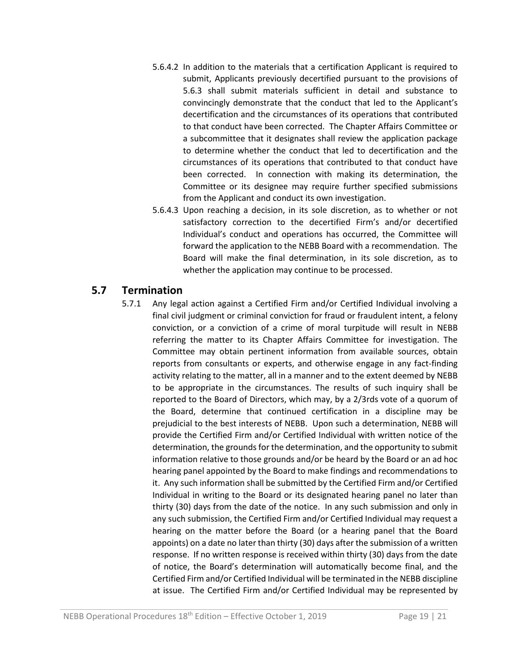- 5.6.4.2 In addition to the materials that a certification Applicant is required to submit, Applicants previously decertified pursuant to the provisions of 5.6.3 shall submit materials sufficient in detail and substance to convincingly demonstrate that the conduct that led to the Applicant's decertification and the circumstances of its operations that contributed to that conduct have been corrected. The Chapter Affairs Committee or a subcommittee that it designates shall review the application package to determine whether the conduct that led to decertification and the circumstances of its operations that contributed to that conduct have been corrected. In connection with making its determination, the Committee or its designee may require further specified submissions from the Applicant and conduct its own investigation.
- 5.6.4.3 Upon reaching a decision, in its sole discretion, as to whether or not satisfactory correction to the decertified Firm's and/or decertified Individual's conduct and operations has occurred, the Committee will forward the application to the NEBB Board with a recommendation. The Board will make the final determination, in its sole discretion, as to whether the application may continue to be processed.

#### <span id="page-18-0"></span>**5.7 Termination**

5.7.1 Any legal action against a Certified Firm and/or Certified Individual involving a final civil judgment or criminal conviction for fraud or fraudulent intent, a felony conviction, or a conviction of a crime of moral turpitude will result in NEBB referring the matter to its Chapter Affairs Committee for investigation. The Committee may obtain pertinent information from available sources, obtain reports from consultants or experts, and otherwise engage in any fact-finding activity relating to the matter, all in a manner and to the extent deemed by NEBB to be appropriate in the circumstances. The results of such inquiry shall be reported to the Board of Directors, which may, by a 2/3rds vote of a quorum of the Board, determine that continued certification in a discipline may be prejudicial to the best interests of NEBB. Upon such a determination, NEBB will provide the Certified Firm and/or Certified Individual with written notice of the determination, the grounds for the determination, and the opportunity to submit information relative to those grounds and/or be heard by the Board or an ad hoc hearing panel appointed by the Board to make findings and recommendations to it. Any such information shall be submitted by the Certified Firm and/or Certified Individual in writing to the Board or its designated hearing panel no later than thirty (30) days from the date of the notice. In any such submission and only in any such submission, the Certified Firm and/or Certified Individual may request a hearing on the matter before the Board (or a hearing panel that the Board appoints) on a date no later than thirty (30) days after the submission of a written response. If no written response is received within thirty (30) days from the date of notice, the Board's determination will automatically become final, and the Certified Firm and/or Certified Individual will be terminated in the NEBB discipline at issue. The Certified Firm and/or Certified Individual may be represented by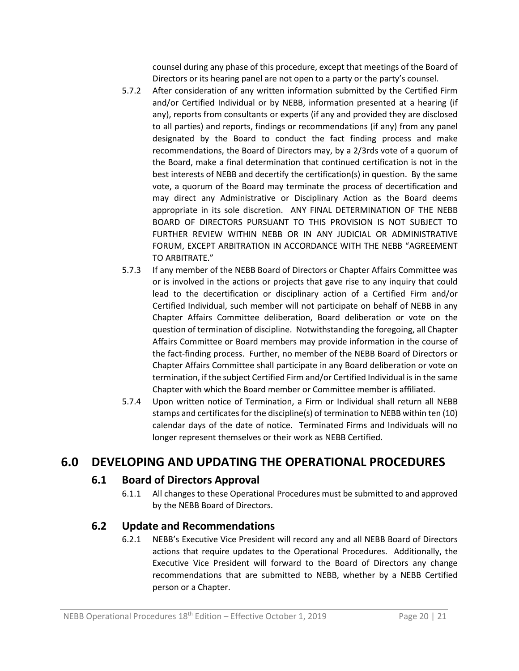counsel during any phase of this procedure, except that meetings of the Board of Directors or its hearing panel are not open to a party or the party's counsel.

- 5.7.2 After consideration of any written information submitted by the Certified Firm and/or Certified Individual or by NEBB, information presented at a hearing (if any), reports from consultants or experts (if any and provided they are disclosed to all parties) and reports, findings or recommendations (if any) from any panel designated by the Board to conduct the fact finding process and make recommendations, the Board of Directors may, by a 2/3rds vote of a quorum of the Board, make a final determination that continued certification is not in the best interests of NEBB and decertify the certification(s) in question. By the same vote, a quorum of the Board may terminate the process of decertification and may direct any Administrative or Disciplinary Action as the Board deems appropriate in its sole discretion. ANY FINAL DETERMINATION OF THE NEBB BOARD OF DIRECTORS PURSUANT TO THIS PROVISION IS NOT SUBJECT TO FURTHER REVIEW WITHIN NEBB OR IN ANY JUDICIAL OR ADMINISTRATIVE FORUM, EXCEPT ARBITRATION IN ACCORDANCE WITH THE NEBB "AGREEMENT TO ARBITRATE."
- 5.7.3 If any member of the NEBB Board of Directors or Chapter Affairs Committee was or is involved in the actions or projects that gave rise to any inquiry that could lead to the decertification or disciplinary action of a Certified Firm and/or Certified Individual, such member will not participate on behalf of NEBB in any Chapter Affairs Committee deliberation, Board deliberation or vote on the question of termination of discipline. Notwithstanding the foregoing, all Chapter Affairs Committee or Board members may provide information in the course of the fact-finding process. Further, no member of the NEBB Board of Directors or Chapter Affairs Committee shall participate in any Board deliberation or vote on termination, if the subject Certified Firm and/or Certified Individual is in the same Chapter with which the Board member or Committee member is affiliated.
- 5.7.4 Upon written notice of Termination, a Firm or Individual shall return all NEBB stamps and certificates for the discipline(s) of termination to NEBB within ten (10) calendar days of the date of notice. Terminated Firms and Individuals will no longer represent themselves or their work as NEBB Certified.

## <span id="page-19-1"></span><span id="page-19-0"></span>**6.0 DEVELOPING AND UPDATING THE OPERATIONAL PROCEDURES**

#### **6.1 Board of Directors Approval**

6.1.1 All changes to these Operational Procedures must be submitted to and approved by the NEBB Board of Directors.

#### <span id="page-19-2"></span>**6.2 Update and Recommendations**

6.2.1 NEBB's Executive Vice President will record any and all NEBB Board of Directors actions that require updates to the Operational Procedures. Additionally, the Executive Vice President will forward to the Board of Directors any change recommendations that are submitted to NEBB, whether by a NEBB Certified person or a Chapter.